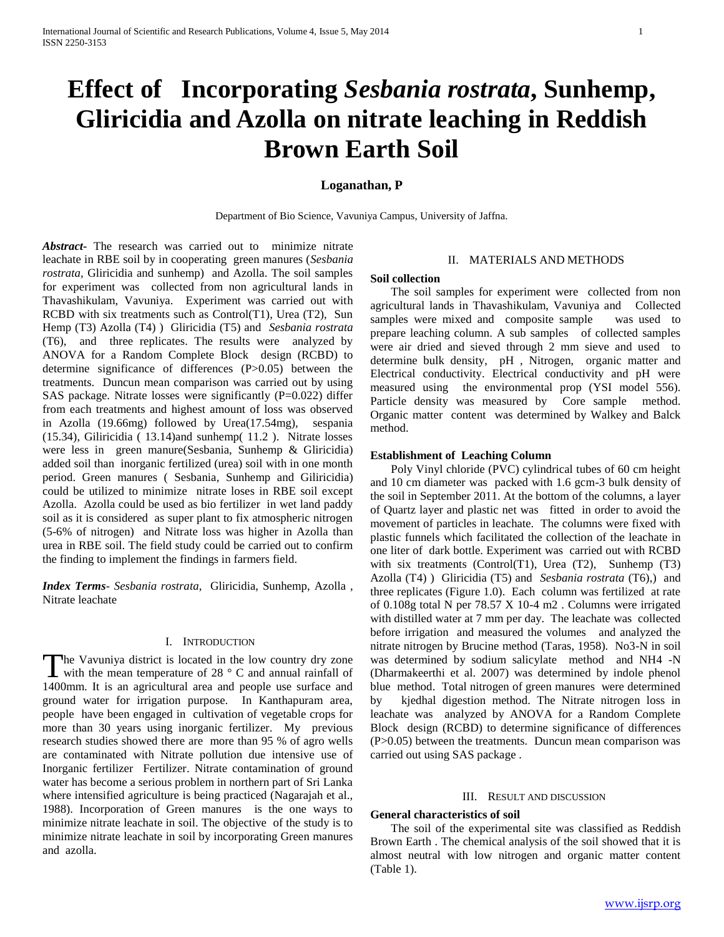# **Effect of Incorporating** *Sesbania rostrata***, Sunhemp, Gliricidia and Azolla on nitrate leaching in Reddish Brown Earth Soil**

# **Loganathan, P**

Department of Bio Science, Vavuniya Campus, University of Jaffna.

*Abstract***-** The research was carried out to minimize nitrate leachate in RBE soil by in cooperating green manures (*Sesbania rostrata,* Gliricidia and sunhemp) and Azolla. The soil samples for experiment was collected from non agricultural lands in Thavashikulam, Vavuniya. Experiment was carried out with RCBD with six treatments such as Control(T1), Urea (T2), Sun Hemp (T3) Azolla (T4) ) Gliricidia (T5) and *Sesbania rostrata* (T6), and three replicates. The results were analyzed by ANOVA for a Random Complete Block design (RCBD) to determine significance of differences (P>0.05) between the treatments. Duncun mean comparison was carried out by using SAS package. Nitrate losses were significantly (P=0.022) differ from each treatments and highest amount of loss was observed in Azolla (19.66mg) followed by Urea(17.54mg), sespania (15.34), Giliricidia ( 13.14)and sunhemp( 11.2 ). Nitrate losses were less in green manure(Sesbania, Sunhemp & Gliricidia) added soil than inorganic fertilized (urea) soil with in one month period. Green manures ( Sesbania, Sunhemp and Giliricidia) could be utilized to minimize nitrate loses in RBE soil except Azolla. Azolla could be used as bio fertilizer in wet land paddy soil as it is considered as super plant to fix atmospheric nitrogen (5-6% of nitrogen) and Nitrate loss was higher in Azolla than urea in RBE soil. The field study could be carried out to confirm the finding to implement the findings in farmers field.

*Index Terms*- *Sesbania rostrata*, Gliricidia, Sunhemp, Azolla , Nitrate leachate

#### I. INTRODUCTION

The Vavuniya district is located in the low country dry zone<br>with the mean temperature of 28 °C and annual rainfall of with the mean temperature of 28  $\degree$  C and annual rainfall of 1400mm. It is an agricultural area and people use surface and ground water for irrigation purpose. In Kanthapuram area, people have been engaged in cultivation of vegetable crops for more than 30 years using inorganic fertilizer. My previous research studies showed there are more than 95 % of agro wells are contaminated with Nitrate pollution due intensive use of Inorganic fertilizer Fertilizer. Nitrate contamination of ground water has become a serious problem in northern part of Sri Lanka where intensified agriculture is being practiced (Nagarajah et al., 1988). Incorporation of Green manures is the one ways to minimize nitrate leachate in soil. The objective of the study is to minimize nitrate leachate in soil by incorporating Green manures and azolla.

# II. MATERIALS AND METHODS

#### **Soil collection**

 The soil samples for experiment were collected from non agricultural lands in Thavashikulam, Vavuniya and Collected samples were mixed and composite sample was used to prepare leaching column. A sub samples of collected samples were air dried and sieved through 2 mm sieve and used to determine bulk density, pH , Nitrogen, organic matter and Electrical conductivity. Electrical conductivity and pH were measured using the environmental prop (YSI model 556). Particle density was measured by Core sample method. Organic matter content was determined by Walkey and Balck method.

#### **Establishment of Leaching Column**

 Poly Vinyl chloride (PVC) cylindrical tubes of 60 cm height and 10 cm diameter was packed with 1.6 gcm-3 bulk density of the soil in September 2011. At the bottom of the columns, a layer of Quartz layer and plastic net was fitted in order to avoid the movement of particles in leachate. The columns were fixed with plastic funnels which facilitated the collection of the leachate in one liter of dark bottle. Experiment was carried out with RCBD with six treatments (Control(T1), Urea (T2), Sunhemp (T3) Azolla (T4) ) Gliricidia (T5) and *Sesbania rostrata* (T6),) and three replicates (Figure 1.0). Each column was fertilized at rate of 0.108g total N per 78.57 X 10-4 m2 . Columns were irrigated with distilled water at 7 mm per day. The leachate was collected before irrigation and measured the volumes and analyzed the nitrate nitrogen by Brucine method (Taras, 1958). No3-N in soil was determined by sodium salicylate method and NH4 -N (Dharmakeerthi et al. 2007) was determined by indole phenol blue method. Total nitrogen of green manures were determined by kjedhal digestion method. The Nitrate nitrogen loss in leachate was analyzed by ANOVA for a Random Complete Block design (RCBD) to determine significance of differences (P>0.05) between the treatments. Duncun mean comparison was carried out using SAS package .

#### III. RESULT AND DISCUSSION

#### **General characteristics of soil**

 The soil of the experimental site was classified as Reddish Brown Earth . The chemical analysis of the soil showed that it is almost neutral with low nitrogen and organic matter content (Table 1).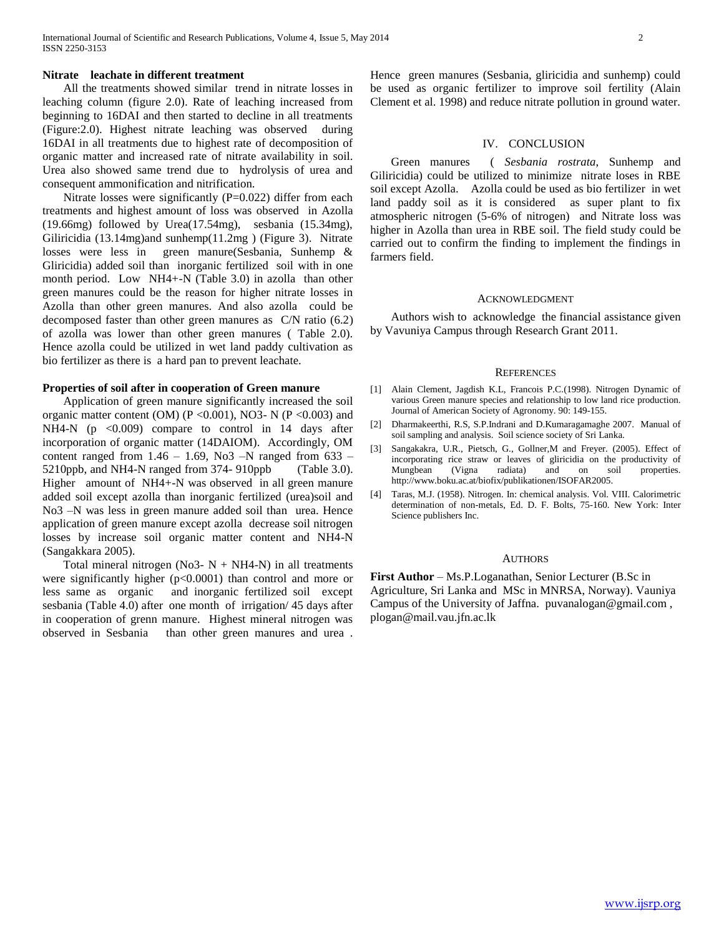#### **Nitrate leachate in different treatment**

 All the treatments showed similar trend in nitrate losses in leaching column (figure 2.0). Rate of leaching increased from beginning to 16DAI and then started to decline in all treatments (Figure:2.0). Highest nitrate leaching was observed during 16DAI in all treatments due to highest rate of decomposition of organic matter and increased rate of nitrate availability in soil. Urea also showed same trend due to hydrolysis of urea and consequent ammonification and nitrification.

Nitrate losses were significantly (P=0.022) differ from each treatments and highest amount of loss was observed in Azolla (19.66mg) followed by Urea(17.54mg), sesbania (15.34mg), Giliricidia (13.14mg)and sunhemp(11.2mg ) (Figure 3). Nitrate losses were less in green manure(Sesbania, Sunhemp & Gliricidia) added soil than inorganic fertilized soil with in one month period. Low NH4+-N (Table 3.0) in azolla than other green manures could be the reason for higher nitrate losses in Azolla than other green manures. And also azolla could be decomposed faster than other green manures as C/N ratio (6.2) of azolla was lower than other green manures ( Table 2.0). Hence azolla could be utilized in wet land paddy cultivation as bio fertilizer as there is a hard pan to prevent leachate.

#### **Properties of soil after in cooperation of Green manure**

 Application of green manure significantly increased the soil organic matter content (OM) (P < 0.001), NO3- N (P < 0.003) and NH4-N ( $p \le 0.009$ ) compare to control in 14 days after incorporation of organic matter (14DAIOM). Accordingly, OM content ranged from  $1.46 - 1.69$ , No3 -N ranged from  $633$  -5210ppb, and NH4-N ranged from 374- 910ppb (Table 3.0). Higher amount of NH4+-N was observed in all green manure added soil except azolla than inorganic fertilized (urea)soil and No3 –N was less in green manure added soil than urea. Hence application of green manure except azolla decrease soil nitrogen losses by increase soil organic matter content and NH4-N (Sangakkara 2005).

Total mineral nitrogen (No3-  $N + NH4-N$ ) in all treatments were significantly higher (p<0.0001) than control and more or less same as organic and inorganic fertilized soil except sesbania (Table 4.0) after one month of irrigation/ 45 days after in cooperation of grenn manure. Highest mineral nitrogen was observed in Sesbania than other green manures and urea .

Hence green manures (Sesbania, gliricidia and sunhemp) could be used as organic fertilizer to improve soil fertility (Alain Clement et al. 1998) and reduce nitrate pollution in ground water.

#### IV. CONCLUSION

 Green manures ( *Sesbania rostrata*, Sunhemp and Giliricidia) could be utilized to minimize nitrate loses in RBE soil except Azolla. Azolla could be used as bio fertilizer in wet land paddy soil as it is considered as super plant to fix atmospheric nitrogen (5-6% of nitrogen) and Nitrate loss was higher in Azolla than urea in RBE soil. The field study could be carried out to confirm the finding to implement the findings in farmers field.

#### ACKNOWLEDGMENT

 Authors wish to acknowledge the financial assistance given by Vavuniya Campus through Research Grant 2011.

#### **REFERENCES**

- [1] Alain Clement, Jagdish K.L, Francois P.C.(1998). Nitrogen Dynamic of various Green manure species and relationship to low land rice production. Journal of American Society of Agronomy. 90: 149-155.
- [2] Dharmakeerthi, R.S, S.P.Indrani and D.Kumaragamaghe 2007. Manual of soil sampling and analysis. Soil science society of Sri Lanka.
- [3] Sangakakra, U.R., Pietsch, G., Gollner,M and Freyer. (2005). Effect of incorporating rice straw or leaves of gliricidia on the productivity of Mungbean (Vigna radiata) and on soil properties. Mungbean (Vigna radiata) and on soil properties. http://www.boku.ac.at/biofix/publikationen/ISOFAR2005.
- [4] Taras, M.J. (1958). Nitrogen. In: chemical analysis. Vol. VIII. Calorimetric determination of non-metals, Ed. D. F. Bolts, 75-160. New York: Inter Science publishers Inc.

#### AUTHORS

**First Author** – Ms.P.Loganathan, Senior Lecturer (B.Sc in Agriculture, Sri Lanka and MSc in MNRSA, Norway). Vauniya Campus of the University of Jaffna. puvanalogan@gmail.com , plogan@mail.vau.jfn.ac.lk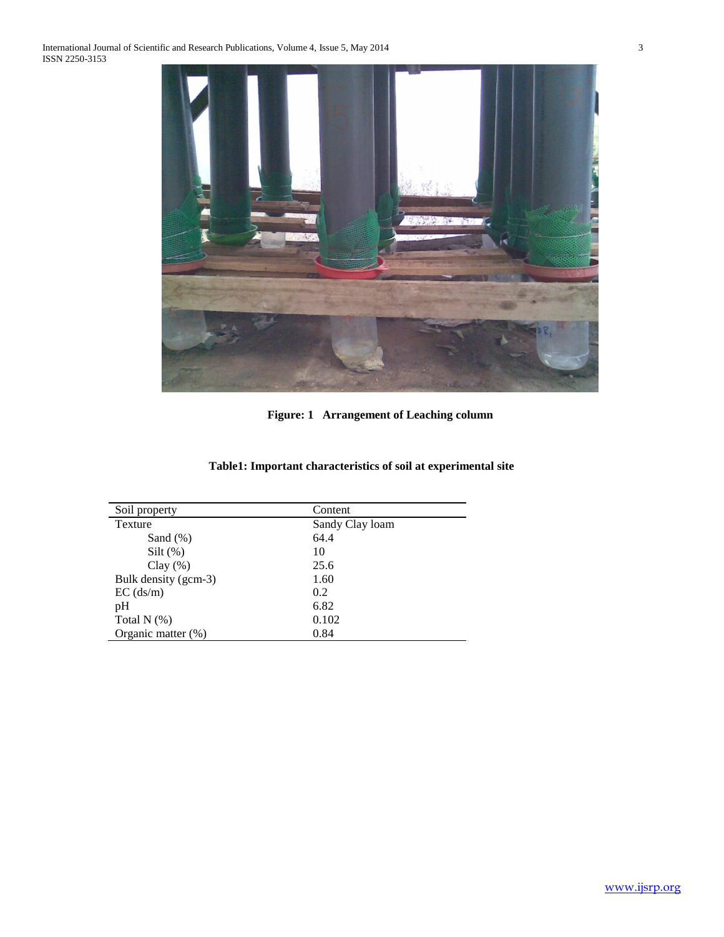

**Figure: 1 Arrangement of Leaching column**

| Soil property         | Content         |
|-----------------------|-----------------|
| Texture               | Sandy Clay loam |
| Sand $(\%)$           | 64.4            |
| $Silt$ (%)            | 10              |
| Clay $(\%)$           | 25.6            |
| Bulk density (gcm-3)  | 1.60            |
| $EC$ (ds/m)           | 0.2             |
| pH                    | 6.82            |
| Total $N$ $(\%)$      | 0.102           |
| Organic matter $(\%)$ | 0.84            |
|                       |                 |

# **Table1: Important characteristics of soil at experimental site**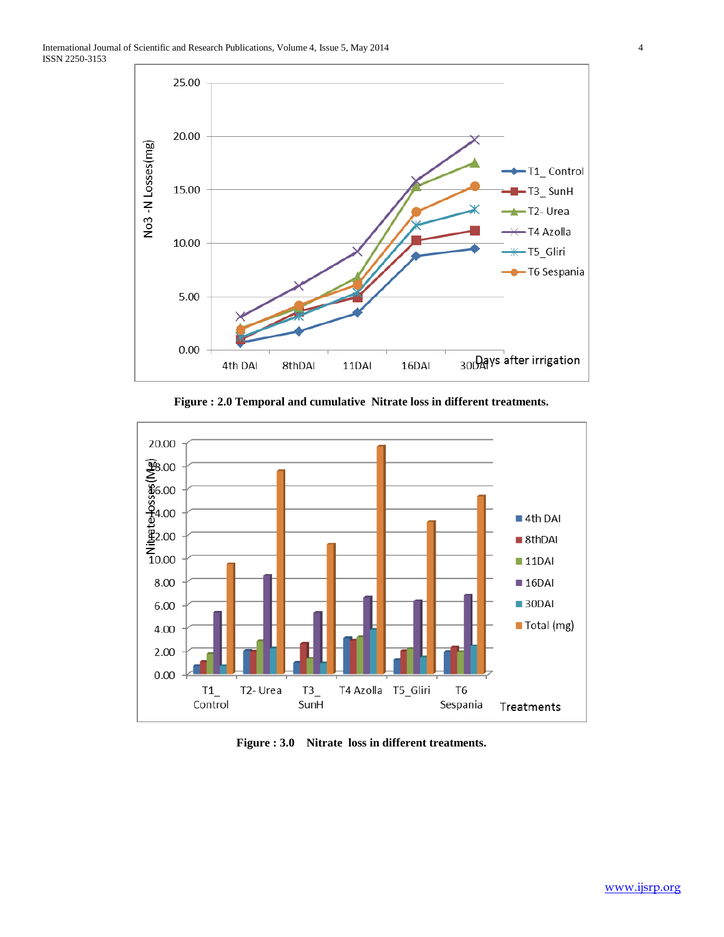

**Figure : 2.0 Temporal and cumulative Nitrate loss in different treatments.**



**Figure : 3.0 Nitrate loss in different treatments.**